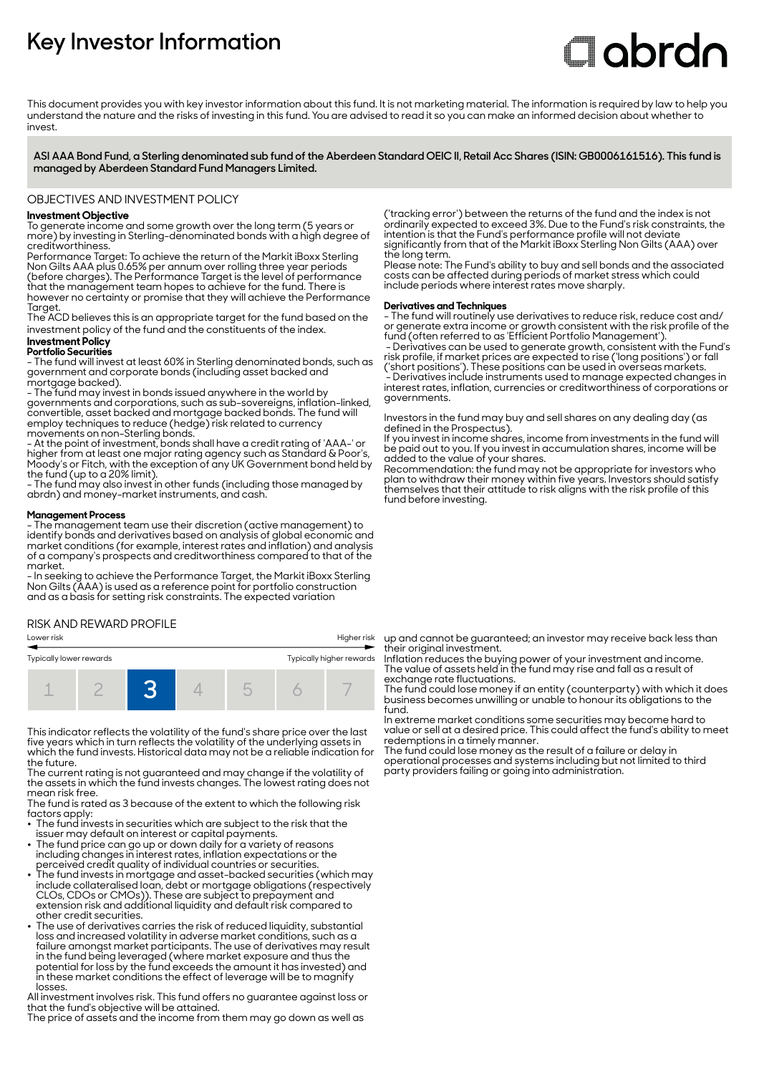# **Key Investor Information**

# **Clobrdn**

This document provides you with key investor information about this fund. It is not marketing material. The information is required by law to help you understand the nature and the risks of investing in this fund. You are advised to read it so you can make an informed decision about whether to invest

**ASI AAA Bond Fund, a Sterling denominated sub fund of the Aberdeen Standard OEIC II, Retail Acc Shares (ISIN: GB0006161516). This fund is managed by Aberdeen Standard Fund Managers Limited.**

OBJECTIVES AND INVESTMENT POLICY

# **Investment Objective**

To generate income and some growth over the long term (5 years or more) by investing in Sterling-denominated bonds with a high degree of creditworthiness.

Performance Target: To achieve the return of the Markit iBoxx Sterling Non Gilts AAA plus 0.65% per annum over rolling three year periods (before charges). The Performance Target is the level of performance that the management team hopes to achieve for the fund. There is however no certainty or promise that they will achieve the Performance **Target** 

The ACD believes this is an appropriate target for the fund based on the investment policy of the fund and the constituents of the index.

# **Investment Policy**

**Portfolio Securities** - The fund will invest at least 60% in Sterling denominated bonds, such as government and corporate bonds (including asset backed and mortgage backed).

- The fund may invest in bonds issued anywhere in the world by governments and corporations, such as sub-sovereigns, inflation-linked, convertible, asset backed and mortgage backed bonds. The fund will employ techniques to reduce (hedge) risk related to currency movements on non-Sterling bonds.

- At the point of investment, bonds shall have a credit rating of 'AAA-' or higher from at least one major rating agency such as Standard & Poor's, Moody's or Fitch, with the exception of any UK Government bond held by the fund (up to a 20% limit).

- The fund may also invest in other funds (including those managed by abrdn) and money-market instruments, and cash.

#### **Management Process**

- The management team use their discretion (active management) to identify bonds and derivatives based on analysis of global economic and market conditions (for example, interest rates and inflation) and analysis of a company's prospects and creditworthiness compared to that of the market.

- In seeking to achieve the Performance Target, the Markit iBoxx Sterling Non Gilts (AAA) is used as a reference point for portfolio construction and as a basis for setting risk constraints. The expected variation

#### RISK AND REWARD PROFILE

#### Lower risk Higher risk



This indicator reflects the volatility of the fund's share price over the last five years which in turn reflects the volatility of the underlying assets in which the fund invests. Historical data may not be a reliable indication for the future.

The current rating is not guaranteed and may change if the volatility of the assets in which the fund invests changes. The lowest rating does not mean risk free.

The fund is rated as 3 because of the extent to which the following risk factors apply: • The fund invests in securities which are subject to the risk that the

- 
- issuer may default on interest or capital payments. 2 The fund price can go up or down daily for a variety of reasons including changes in interest rates, inflation expectations or the
- perceived credit quality of individual countries or securities. 2 The fund invests in mortgage and asset-backed securities (which may include collateralised loan, debt or mortgage obligations (respectively CLOs, CDOs or CMOs)). These are subject to prepayment and extension risk and additional liquidity and default risk compared to other credit securities.
- The use of derivatives carries the risk of reduced liquidity, substantial loss and increased volatility in adverse market conditions, such as a failure amongst market participants. The use of derivatives may result in the fund being leveraged (where market exposure and thus the potential for loss by the fund exceeds the amount it has invested) and in these market conditions the effect of leverage will be to magnify losses.

All investment involves risk. This fund offers no guarantee against loss or that the fund's objective will be attained.

The price of assets and the income from them may go down as well as

('tracking error') between the returns of the fund and the index is not ordinarily expected to exceed 3%. Due to the Fund's risk constraints, the intention is that the Fund's performance profile will not deviate significantly from that of the Markit iBoxx Sterling Non Gilts (AAA) over the long term.

Please note: The Fund's ability to buy and sell bonds and the associated costs can be affected during periods of market stress which could include periods where interest rates move sharply.

# **Derivatives and Techniques**

- The fund will routinely use derivatives to reduce risk, reduce cost and/ or generate extra income or growth consistent with the risk profile of the fund (often referred to as 'Efficient Portfolio Management').

 - Derivatives can be used to generate growth, consistent with the Fund's risk profile, if market prices are expected to rise ('long positions') or fall ('short positions'). These positions can be used in overseas markets. - Derivatives include instruments used to manage expected changes in interest rates, inflation, currencies or creditworthiness of corporations or governments.

Investors in the fund may buy and sell shares on any dealing day (as defined in the Prospectus).

If you invest in income shares, income from investments in the fund will be paid out to you. If you invest in accumulation shares, income will be added to the value of your shares.

Recommendation: the fund may not be appropriate for investors who plan to withdraw their money within five years. Investors should satisfy themselves that their attitude to risk aligns with the risk profile of this fund before investing.

up and cannot be guaranteed; an investor may receive back less than their original investment.

Inflation reduces the buying power of your investment and income. The value of assets held in the fund may rise and fall as a result of exchange rate fluctuations.

The fund could lose money if an entity (counterparty) with which it does business becomes unwilling or unable to honour its obligations to the fund.

In extreme market conditions some securities may become hard to value or sell at a desired price. This could affect the fund's ability to meet redemptions in a timely manner.

The fund could lose money as the result of a failure or delay in operational processes and systems including but not limited to third party providers failing or going into administration.